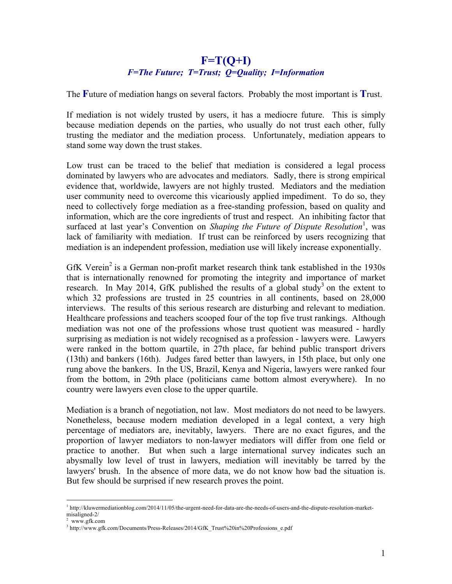## **F=T(Q+I)** *F=The Future; T=Trust; Q=Quality; I=Information*

The **F**uture of mediation hangs on several factors. Probably the most important is **T**rust.

If mediation is not widely trusted by users, it has a mediocre future. This is simply because mediation depends on the parties, who usually do not trust each other, fully trusting the mediator and the mediation process. Unfortunately, mediation appears to stand some way down the trust stakes.

Low trust can be traced to the belief that mediation is considered a legal process dominated by lawyers who are advocates and mediators. Sadly, there is strong empirical evidence that, worldwide, lawyers are not highly trusted. Mediators and the mediation user community need to overcome this vicariously applied impediment. To do so, they need to collectively forge mediation as a free-standing profession, based on quality and information, which are the core ingredients of trust and respect. An inhibiting factor that surfaced at last year's Convention on *Shaping the Future of Dispute Resolution*<sup>1</sup>, was lack of familiarity with mediation. If trust can be reinforced by users recognizing that mediation is an independent profession, mediation use will likely increase exponentially.

GfK Verein<sup>2</sup> is a German non-profit market research think tank established in the 1930s that is internationally renowned for promoting the integrity and importance of market research. In May 2014, GfK published the results of a global study<sup>3</sup> on the extent to which 32 professions are trusted in 25 countries in all continents, based on 28,000 interviews. The results of this serious research are disturbing and relevant to mediation. Healthcare professions and teachers scooped four of the top five trust rankings. Although mediation was not one of the professions whose trust quotient was measured - hardly surprising as mediation is not widely recognised as a profession - lawyers were. Lawyers were ranked in the bottom quartile, in 27th place, far behind public transport drivers (13th) and bankers (16th). Judges fared better than lawyers, in 15th place, but only one rung above the bankers. In the US, Brazil, Kenya and Nigeria, lawyers were ranked four from the bottom, in 29th place (politicians came bottom almost everywhere). In no country were lawyers even close to the upper quartile.

Mediation is a branch of negotiation, not law. Most mediators do not need to be lawyers. Nonetheless, because modern mediation developed in a legal context, a very high percentage of mediators are, inevitably, lawyers. There are no exact figures, and the proportion of lawyer mediators to non-lawyer mediators will differ from one field or practice to another. But when such a large international survey indicates such an abysmally low level of trust in lawyers, mediation will inevitably be tarred by the lawyers' brush. In the absence of more data, we do not know how bad the situation is. But few should be surprised if new research proves the point.

 <sup>1</sup> http://kluwermediationblog.com/2014/11/05/the-urgent-need-for-data-are-the-needs-of-users-and-the-dispute-resolution-marketmisaligned-2/

www.gfk.com

<sup>3</sup> http://www.gfk.com/Documents/Press-Releases/2014/GfK\_Trust%20in%20Professions\_e.pdf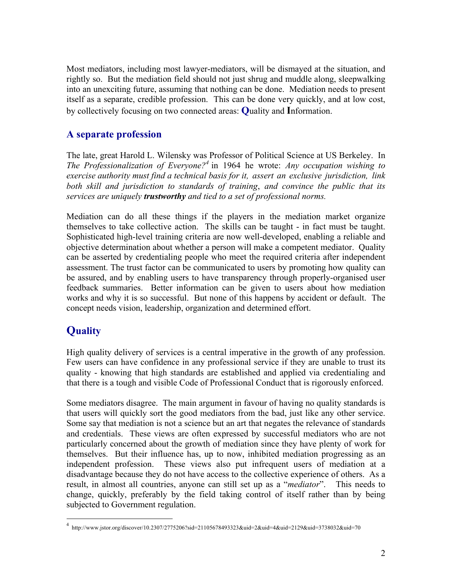Most mediators, including most lawyer-mediators, will be dismayed at the situation, and rightly so. But the mediation field should not just shrug and muddle along, sleepwalking into an unexciting future, assuming that nothing can be done. Mediation needs to present itself as a separate, credible profession. This can be done very quickly, and at low cost, by collectively focusing on two connected areas: **Q**uality and **I**nformation.

## **A separate profession**

The late, great Harold L. Wilensky was Professor of Political Science at US Berkeley. In *The Professionalization of Everyone?<sup>4</sup>* in 1964 he wrote: *Any occupation wishing to exercise authority must find a technical basis for it, assert an exclusive jurisdiction, link both skill and jurisdiction to standards of training*, *and convince the public that its services are uniquely trustworthy and tied to a set of professional norms.*

Mediation can do all these things if the players in the mediation market organize themselves to take collective action. The skills can be taught - in fact must be taught. Sophisticated high-level training criteria are now well-developed, enabling a reliable and objective determination about whether a person will make a competent mediator. Quality can be asserted by credentialing people who meet the required criteria after independent assessment. The trust factor can be communicated to users by promoting how quality can be assured, and by enabling users to have transparency through properly-organised user feedback summaries. Better information can be given to users about how mediation works and why it is so successful. But none of this happens by accident or default. The concept needs vision, leadership, organization and determined effort.

# **Quality**

High quality delivery of services is a central imperative in the growth of any profession. Few users can have confidence in any professional service if they are unable to trust its quality - knowing that high standards are established and applied via credentialing and that there is a tough and visible Code of Professional Conduct that is rigorously enforced.

Some mediators disagree. The main argument in favour of having no quality standards is that users will quickly sort the good mediators from the bad, just like any other service. Some say that mediation is not a science but an art that negates the relevance of standards and credentials. These views are often expressed by successful mediators who are not particularly concerned about the growth of mediation since they have plenty of work for themselves. But their influence has, up to now, inhibited mediation progressing as an independent profession. These views also put infrequent users of mediation at a disadvantage because they do not have access to the collective experience of others. As a result, in almost all countries, anyone can still set up as a "*mediator*". This needs to change, quickly, preferably by the field taking control of itself rather than by being subjected to Government regulation.

 $\frac{1}{4}$ http://www.jstor.org/discover/10.2307/2775206?sid=21105678493323&uid=2&uid=4&uid=2129&uid=3738032&uid=70